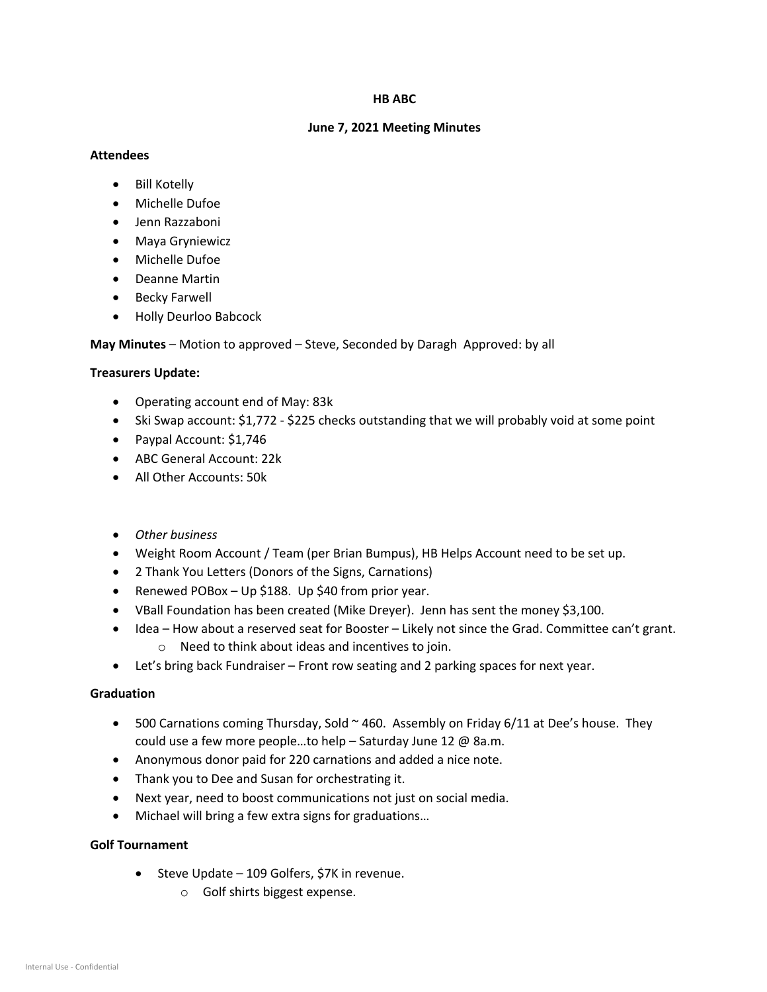#### **HB ABC**

### **June 7, 2021 Meeting Minutes**

## **Attendees**

- Bill Kotelly
- Michelle Dufoe
- Jenn Razzaboni
- Maya Gryniewicz
- Michelle Dufoe
- Deanne Martin
- Becky Farwell
- Holly Deurloo Babcock

**May Minutes** – Motion to approved – Steve, Seconded by Daragh Approved: by all

# **Treasurers Update:**

- Operating account end of May: 83k
- Ski Swap account: \$1,772 \$225 checks outstanding that we will probably void at some point
- Paypal Account: \$1,746
- ABC General Account: 22k
- All Other Accounts: 50k
- *Other business*
- Weight Room Account / Team (per Brian Bumpus), HB Helps Account need to be set up.
- 2 Thank You Letters (Donors of the Signs, Carnations)
- Renewed POBox Up \$188. Up \$40 from prior year.
- VBall Foundation has been created (Mike Dreyer). Jenn has sent the money \$3,100.
- Idea How about a reserved seat for Booster Likely not since the Grad. Committee can't grant. o Need to think about ideas and incentives to join.
- Let's bring back Fundraiser Front row seating and 2 parking spaces for next year.

# **Graduation**

- 500 Carnations coming Thursday, Sold  $\sim$  460. Assembly on Friday 6/11 at Dee's house. They could use a few more people…to help – Saturday June 12 @ 8a.m.
- Anonymous donor paid for 220 carnations and added a nice note.
- Thank you to Dee and Susan for orchestrating it.
- Next year, need to boost communications not just on social media.
- Michael will bring a few extra signs for graduations…

# **Golf Tournament**

- Steve Update 109 Golfers, \$7K in revenue.
	- o Golf shirts biggest expense.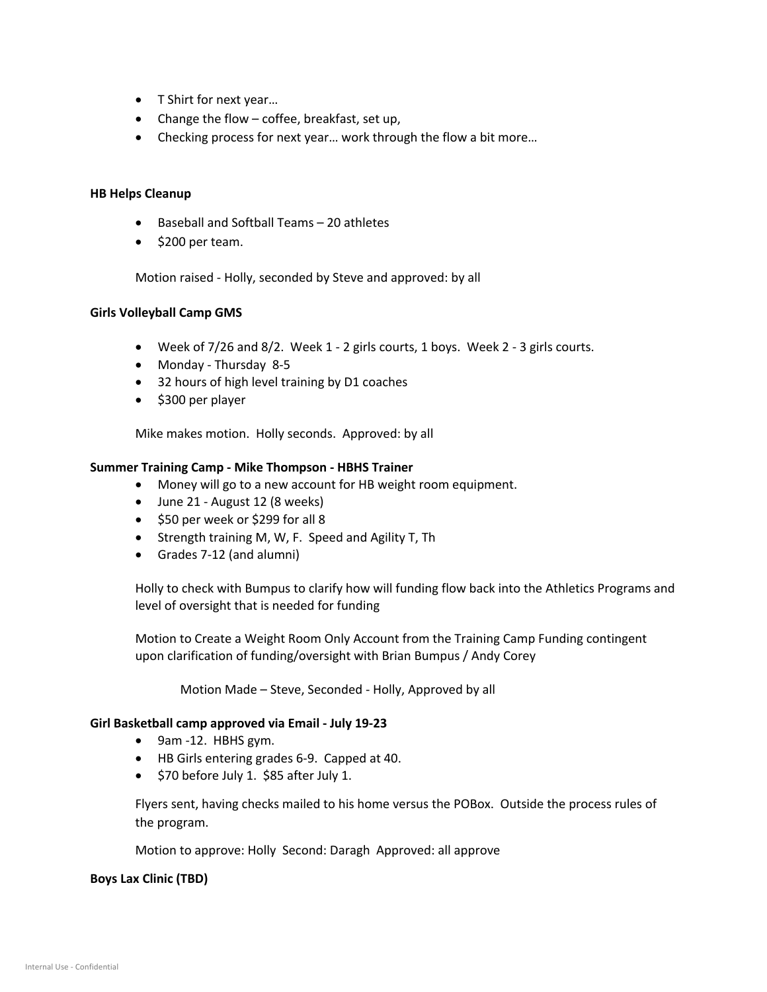- T Shirt for next year…
- Change the flow coffee, breakfast, set up,
- Checking process for next year... work through the flow a bit more...

### **HB Helps Cleanup**

- Baseball and Softball Teams 20 athletes
- \$200 per team.

Motion raised - Holly, seconded by Steve and approved: by all

### **Girls Volleyball Camp GMS**

- Week of 7/26 and 8/2. Week 1 2 girls courts, 1 boys. Week 2 3 girls courts.
- Monday Thursday 8-5
- 32 hours of high level training by D1 coaches
- \$300 per player

Mike makes motion. Holly seconds. Approved: by all

### **Summer Training Camp - Mike Thompson - HBHS Trainer**

- Money will go to a new account for HB weight room equipment.
- June 21 August 12 (8 weeks)
- \$50 per week or \$299 for all 8
- Strength training M, W, F. Speed and Agility T, Th
- Grades 7-12 (and alumni)

Holly to check with Bumpus to clarify how will funding flow back into the Athletics Programs and level of oversight that is needed for funding

Motion to Create a Weight Room Only Account from the Training Camp Funding contingent upon clarification of funding/oversight with Brian Bumpus / Andy Corey

Motion Made – Steve, Seconded - Holly, Approved by all

#### **Girl Basketball camp approved via Email - July 19-23**

- 9am -12. HBHS gym.
- HB Girls entering grades 6-9. Capped at 40.
- \$70 before July 1. \$85 after July 1.

Flyers sent, having checks mailed to his home versus the POBox. Outside the process rules of the program.

Motion to approve: Holly Second: Daragh Approved: all approve

#### **Boys Lax Clinic (TBD)**